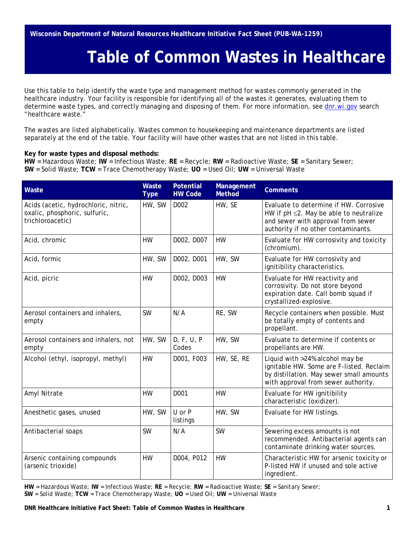## **Table of Common Wastes in Healthcare**

Use this table to help identify the waste type and management method for wastes commonly generated in the healthcare industry. Your facility is responsible for identifying all of the wastes it generates, evaluating them to determine waste types, and correctly managing and disposing of them. For more information, see [dnr.wi.gov](https://dnr.wi.gov/) search "healthcare waste."

The wastes are listed alphabetically. Wastes common to housekeeping and maintenance departments are listed separately at the end of the table. Your facility will have other wastes that are not listed in this table.

## **Key for waste types and disposal methods:**

**HW** = Hazardous Waste; **IW** = Infectious Waste; **RE** = Recycle; **RW** = Radioactive Waste; **SE** = Sanitary Sewer; **SW** = Solid Waste; **TCW** = Trace Chemotherapy Waste; **UO** = Used Oil; **UW** = Universal Waste

| Waste                                                                                     | Waste<br><b>Type</b> | <b>Potential</b><br><b>HW Code</b> | Management<br><b>Method</b> | <b>Comments</b>                                                                                                                                                |
|-------------------------------------------------------------------------------------------|----------------------|------------------------------------|-----------------------------|----------------------------------------------------------------------------------------------------------------------------------------------------------------|
| Acids (acetic, hydrochloric, nitric,<br>oxalic, phosphoric, sulfuric,<br>trichloroacetic) | HW, SW               | D002                               | HW, SE                      | Evaluate to determine if HW. Corrosive<br>HW if pH ≤2. May be able to neutralize<br>and sewer with approval from sewer<br>authority if no other contaminants.  |
| Acid, chromic                                                                             | <b>HW</b>            | D002, D007                         | <b>HW</b>                   | Evaluate for HW corrosivity and toxicity<br>(chromium).                                                                                                        |
| Acid, formic                                                                              | HW, SW               | D002, D001                         | HW, SW                      | Evaluate for HW corrosivity and<br>ignitibility characteristics.                                                                                               |
| Acid, picric                                                                              | <b>HW</b>            | D002, D003                         | <b>HW</b>                   | Evaluate for HW reactivity and<br>corrosivity. Do not store beyond<br>expiration date. Call bomb squad if<br>crystallized-explosive.                           |
| Aerosol containers and inhalers,<br>empty                                                 | <b>SW</b>            | N/A                                | RE, SW                      | Recycle containers when possible. Must<br>be totally empty of contents and<br>propellant.                                                                      |
| Aerosol containers and inhalers, not<br>empty                                             | HW, SW               | D, F, U, P<br>Codes                | HW, SW                      | Evaluate to determine if contents or<br>propellants are HW.                                                                                                    |
| Alcohol (ethyl, isopropyl, methyl)                                                        | <b>HW</b>            | D001, F003                         | HW, SE, RE                  | Liquid with >24% alcohol may be<br>ignitable HW. Some are F-listed. Reclaim<br>by distillation. May sewer small amounts<br>with approval from sewer authority. |
| Amyl Nitrate                                                                              | <b>HW</b>            | D001                               | <b>HW</b>                   | Evaluate for HW ignitibility<br>characteristic (oxidizer).                                                                                                     |
| Anesthetic gases, unused                                                                  | HW, SW               | U or P<br>listings                 | HW, SW                      | Evaluate for HW listings.                                                                                                                                      |
| Antibacterial soaps                                                                       | <b>SW</b>            | N/A                                | <b>SW</b>                   | Sewering excess amounts is not<br>recommended. Antibacterial agents can<br>contaminate drinking water sources.                                                 |
| Arsenic containing compounds<br>(arsenic trioxide)                                        | <b>HW</b>            | D004, P012                         | <b>HW</b>                   | Characteristic HW for arsenic toxicity or<br>P-listed HW if unused and sole active<br>ingredient.                                                              |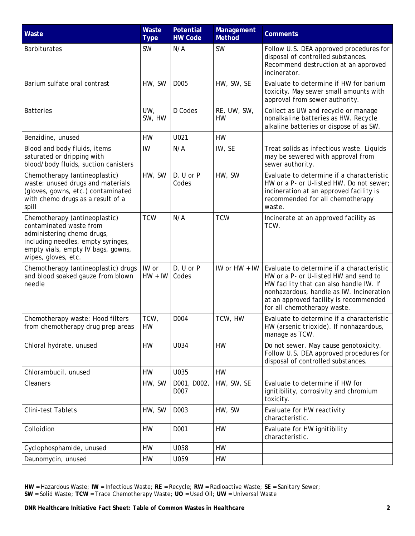| Waste                                                                                                                                                                                     | Waste<br><b>Type</b> | <b>Potential</b><br><b>HW Code</b> | Management<br>Method     | <b>Comments</b>                                                                                                                                                                                                                                    |
|-------------------------------------------------------------------------------------------------------------------------------------------------------------------------------------------|----------------------|------------------------------------|--------------------------|----------------------------------------------------------------------------------------------------------------------------------------------------------------------------------------------------------------------------------------------------|
| <b>Barbiturates</b>                                                                                                                                                                       | <b>SW</b>            | N/A                                | <b>SW</b>                | Follow U.S. DEA approved procedures for<br>disposal of controlled substances.<br>Recommend destruction at an approved<br>incinerator.                                                                                                              |
| Barium sulfate oral contrast                                                                                                                                                              | HW, SW               | D005                               | HW, SW, SE               | Evaluate to determine if HW for barium<br>toxicity. May sewer small amounts with<br>approval from sewer authority.                                                                                                                                 |
| <b>Batteries</b>                                                                                                                                                                          | UW,<br>SW, HW        | D Codes                            | RE, UW, SW,<br><b>HW</b> | Collect as UW and recycle or manage<br>nonalkaline batteries as HW. Recycle<br>alkaline batteries or dispose of as SW.                                                                                                                             |
| Benzidine, unused                                                                                                                                                                         | <b>HW</b>            | U021                               | <b>HW</b>                |                                                                                                                                                                                                                                                    |
| Blood and body fluids, items<br>saturated or dripping with<br>blood/body fluids, suction canisters                                                                                        | IW                   | N/A                                | IW, SE                   | Treat solids as infectious waste. Liquids<br>may be sewered with approval from<br>sewer authority.                                                                                                                                                 |
| Chemotherapy (antineoplastic)<br>waste: unused drugs and materials<br>(gloves, gowns, etc.) contaminated<br>with chemo drugs as a result of a<br>spill                                    | HW, SW               | $D, U$ or $P$<br>Codes             | HW, SW                   | Evaluate to determine if a characteristic<br>HW or a P- or U-listed HW. Do not sewer;<br>incineration at an approved facility is<br>recommended for all chemotherapy<br>waste.                                                                     |
| Chemotherapy (antineoplastic)<br>contaminated waste from<br>administering chemo drugs,<br>including needles, empty syringes,<br>empty vials, empty IV bags, gowns,<br>wipes, gloves, etc. | <b>TCW</b>           | N/A                                | <b>TCW</b>               | Incinerate at an approved facility as<br>TCW.                                                                                                                                                                                                      |
| Chemotherapy (antineoplastic) drugs<br>and blood soaked gauze from blown<br>needle                                                                                                        | IW or<br>$HW + IW$   | D, U or P<br>Codes                 | IW or HW + IW            | Evaluate to determine if a characteristic<br>HW or a P- or U-listed HW and send to<br>HW facility that can also handle IW. If<br>nonhazardous, handle as IW. Incineration<br>at an approved facility is recommended<br>for all chemotherapy waste. |
| Chemotherapy waste: Hood filters<br>from chemotherapy drug prep areas                                                                                                                     | TCW,<br>HW           | D004                               | TCW, HW                  | Evaluate to determine if a characteristic<br>HW (arsenic trioxide). If nonhazardous<br>manage as TCW.                                                                                                                                              |
| Chloral hydrate, unused                                                                                                                                                                   | <b>HW</b>            | U034                               | <b>HW</b>                | Do not sewer. May cause genotoxicity.<br>Follow U.S. DEA approved procedures for<br>disposal of controlled substances.                                                                                                                             |
| Chlorambucil, unused                                                                                                                                                                      | <b>HW</b>            | U035                               | <b>HW</b>                |                                                                                                                                                                                                                                                    |
| Cleaners                                                                                                                                                                                  | HW, SW               | D001, D002,<br>D007                | HW, SW, SE               | Evaluate to determine if HW for<br>ignitibility, corrosivity and chromium<br>toxicity.                                                                                                                                                             |
| Clini-test Tablets                                                                                                                                                                        | HW, SW               | D003                               | HW, SW                   | Evaluate for HW reactivity<br>characteristic.                                                                                                                                                                                                      |
| Colloidion                                                                                                                                                                                | <b>HW</b>            | D001                               | <b>HW</b>                | Evaluate for HW ignitibility<br>characteristic.                                                                                                                                                                                                    |
| Cyclophosphamide, unused                                                                                                                                                                  | <b>HW</b>            | U058                               | <b>HW</b>                |                                                                                                                                                                                                                                                    |
| Daunomycin, unused                                                                                                                                                                        | <b>HW</b>            | U059                               | <b>HW</b>                |                                                                                                                                                                                                                                                    |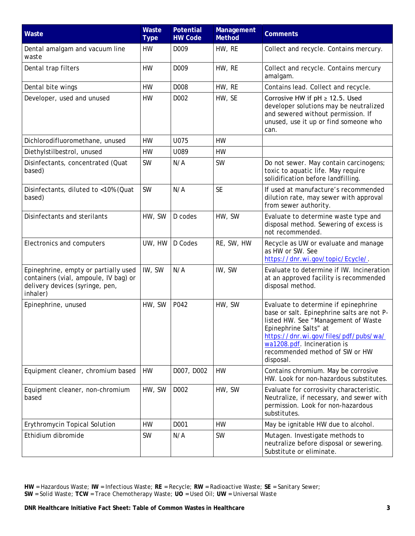| Waste                                                                                                                        | Waste<br><b>Type</b> | <b>Potential</b><br><b>HW Code</b> | Management<br><b>Method</b> | <b>Comments</b>                                                                                                                                                                                                                                                           |
|------------------------------------------------------------------------------------------------------------------------------|----------------------|------------------------------------|-----------------------------|---------------------------------------------------------------------------------------------------------------------------------------------------------------------------------------------------------------------------------------------------------------------------|
| Dental amalgam and vacuum line<br>waste                                                                                      | HW                   | D <sub>009</sub>                   | HW, RE                      | Collect and recycle. Contains mercury.                                                                                                                                                                                                                                    |
| Dental trap filters                                                                                                          | <b>HW</b>            | D009                               | HW, RE                      | Collect and recycle. Contains mercury<br>amalgam.                                                                                                                                                                                                                         |
| Dental bite wings                                                                                                            | <b>HW</b>            | D008                               | HW, RE                      | Contains lead. Collect and recycle.                                                                                                                                                                                                                                       |
| Developer, used and unused                                                                                                   | HW                   | D <sub>002</sub>                   | HW, SE                      | Corrosive HW if $pH \ge 12.5$ . Used<br>developer solutions may be neutralized<br>and sewered without permission. If<br>unused, use it up or find someone who<br>can.                                                                                                     |
| Dichlorodifluoromethane, unused                                                                                              | <b>HW</b>            | U075                               | <b>HW</b>                   |                                                                                                                                                                                                                                                                           |
| Diethylstilbestrol, unused                                                                                                   | HW                   | U089                               | HW                          |                                                                                                                                                                                                                                                                           |
| Disinfectants, concentrated (Quat<br>based)                                                                                  | <b>SW</b>            | N/A                                | SW                          | Do not sewer. May contain carcinogens;<br>toxic to aquatic life. May require<br>solidification before landfilling.                                                                                                                                                        |
| Disinfectants, diluted to <10% (Quat<br>based)                                                                               | <b>SW</b>            | N/A                                | <b>SE</b>                   | If used at manufacture's recommended<br>dilution rate, may sewer with approval<br>from sewer authority.                                                                                                                                                                   |
| Disinfectants and sterilants                                                                                                 | HW, SW               | D codes                            | HW, SW                      | Evaluate to determine waste type and<br>disposal method. Sewering of excess is<br>not recommended.                                                                                                                                                                        |
| Electronics and computers                                                                                                    | UW, HW               | D Codes                            | RE, SW, HW                  | Recycle as UW or evaluate and manage<br>as HW or SW. See<br>https://dnr.wi.gov/topic/Ecycle/                                                                                                                                                                              |
| Epinephrine, empty or partially used<br>containers (vial, ampoule, IV bag) or<br>delivery devices (syringe, pen,<br>inhaler) | IW, SW               | N/A                                | IW, SW                      | Evaluate to determine if IW. Incineration<br>at an approved facility is recommended<br>disposal method.                                                                                                                                                                   |
| Epinephrine, unused                                                                                                          | HW, SW               | P042                               | HW, SW                      | Evaluate to determine if epinephrine<br>base or salt. Epinephrine salts are not P-<br>listed HW. See "Management of Waste<br>Epinephrine Salts" at<br>https://dnr.wi.gov/files/pdf/pubs/wa/<br>wa1208.pdf. Incineration is<br>recommended method of SW or HW<br>disposal. |
| Equipment cleaner, chromium based                                                                                            | <b>HW</b>            | D007, D002                         | HW                          | Contains chromium. May be corrosive<br>HW. Look for non-hazardous substitutes.                                                                                                                                                                                            |
| Equipment cleaner, non-chromium<br>based                                                                                     | HW, SW               | D002                               | HW, SW                      | Evaluate for corrosivity characteristic.<br>Neutralize, if necessary, and sewer with<br>permission. Look for non-hazardous<br>substitutes.                                                                                                                                |
| Erythromycin Topical Solution                                                                                                | <b>HW</b>            | D001                               | <b>HW</b>                   | May be ignitable HW due to alcohol.                                                                                                                                                                                                                                       |
| Ethidium dibromide                                                                                                           | <b>SW</b>            | N/A                                | <b>SW</b>                   | Mutagen. Investigate methods to<br>neutralize before disposal or sewering.<br>Substitute or eliminate.                                                                                                                                                                    |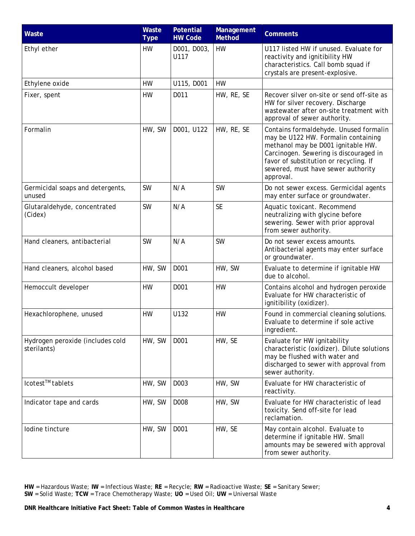| Waste                                           | Waste<br><b>Type</b> | Potential<br><b>HW Code</b> | Management<br><b>Method</b> | <b>Comments</b>                                                                                                                                                                                                                                            |
|-------------------------------------------------|----------------------|-----------------------------|-----------------------------|------------------------------------------------------------------------------------------------------------------------------------------------------------------------------------------------------------------------------------------------------------|
| Ethyl ether                                     | HW                   | D001, D003,<br>U117         | <b>HW</b>                   | U117 listed HW if unused. Evaluate for<br>reactivity and ignitibility HW<br>characteristics. Call bomb squad if<br>crystals are present-explosive.                                                                                                         |
| Ethylene oxide                                  | <b>HW</b>            | U115, D001                  | <b>HW</b>                   |                                                                                                                                                                                                                                                            |
| Fixer, spent                                    | <b>HW</b>            | D011                        | HW, RE, SE                  | Recover silver on-site or send off-site as<br>HW for silver recovery. Discharge<br>wastewater after on-site treatment with<br>approval of sewer authority.                                                                                                 |
| Formalin                                        | HW, SW               | D001, U122                  | HW, RE, SE                  | Contains formaldehyde. Unused formalin<br>may be U122 HW. Formalin containing<br>methanol may be D001 ignitable HW.<br>Carcinogen. Sewering is discouraged in<br>favor of substitution or recycling. If<br>sewered, must have sewer authority<br>approval. |
| Germicidal soaps and detergents,<br>unused      | <b>SW</b>            | N/A                         | <b>SW</b>                   | Do not sewer excess. Germicidal agents<br>may enter surface or groundwater.                                                                                                                                                                                |
| Glutaraldehyde, concentrated<br>(Cidex)         | <b>SW</b>            | N/A                         | <b>SE</b>                   | Aquatic toxicant. Recommend<br>neutralizing with glycine before<br>sewering. Sewer with prior approval<br>from sewer authority.                                                                                                                            |
| Hand cleaners, antibacterial                    | <b>SW</b>            | N/A                         | <b>SW</b>                   | Do not sewer excess amounts.<br>Antibacterial agents may enter surface<br>or groundwater.                                                                                                                                                                  |
| Hand cleaners, alcohol based                    | HW, SW               | D001                        | HW, SW                      | Evaluate to determine if ignitable HW<br>due to alcohol.                                                                                                                                                                                                   |
| Hemoccult developer                             | <b>HW</b>            | D001                        | <b>HW</b>                   | Contains alcohol and hydrogen peroxide<br>Evaluate for HW characteristic of<br>ignitibility (oxidizer).                                                                                                                                                    |
| Hexachlorophene, unused                         | <b>HW</b>            | U132                        | HW                          | Found in commercial cleaning solutions.<br>Evaluate to determine if sole active<br>ingredient.                                                                                                                                                             |
| Hydrogen peroxide (includes cold<br>sterilants) | HW, SW               | D001                        | HW, SE                      | Evaluate for HW ignitability<br>characteristic (oxidizer). Dilute solutions<br>may be flushed with water and<br>discharged to sewer with approval from<br>sewer authority.                                                                                 |
| lcotest <sup>™</sup> tablets                    | HW, SW               | D003                        | HW, SW                      | Evaluate for HW characteristic of<br>reactivity.                                                                                                                                                                                                           |
| Indicator tape and cards                        | HW, SW               | D008                        | HW, SW                      | Evaluate for HW characteristic of lead<br>toxicity. Send off-site for lead<br>reclamation.                                                                                                                                                                 |
| lodine tincture                                 | HW, SW               | D001                        | HW, SE                      | May contain alcohol. Evaluate to<br>determine if ignitable HW. Small<br>amounts may be sewered with approval<br>from sewer authority.                                                                                                                      |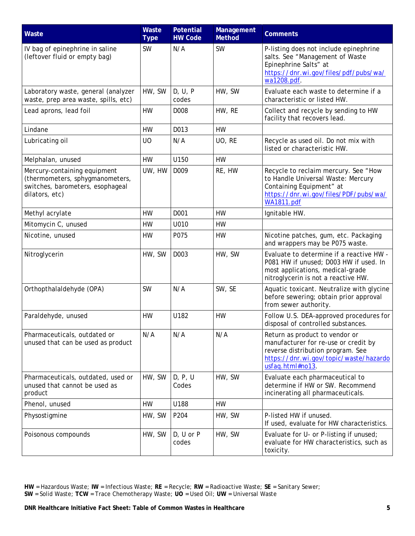| Waste                                                                                                                 | Waste<br><b>Type</b> | <b>Potential</b><br><b>HW Code</b> | Management<br><b>Method</b> | <b>Comments</b>                                                                                                                                                           |
|-----------------------------------------------------------------------------------------------------------------------|----------------------|------------------------------------|-----------------------------|---------------------------------------------------------------------------------------------------------------------------------------------------------------------------|
| IV bag of epinephrine in saline<br>(leftover fluid or empty bag)                                                      | <b>SW</b>            | N/A                                | <b>SW</b>                   | P-listing does not include epinephrine<br>salts. See "Management of Waste<br>Epinephrine Salts" at<br>https://dnr.wi.gov/files/pdf/pubs/wa/<br>wa1208.pdf.                |
| Laboratory waste, general (analyzer<br>waste, prep area waste, spills, etc)                                           | HW, SW               | D, U, P<br>codes                   | HW, SW                      | Evaluate each waste to determine if a<br>characteristic or listed HW.                                                                                                     |
| Lead aprons, lead foil                                                                                                | HW                   | D008                               | HW, RE                      | Collect and recycle by sending to HW<br>facility that recovers lead.                                                                                                      |
| Lindane                                                                                                               | <b>HW</b>            | D013                               | <b>HW</b>                   |                                                                                                                                                                           |
| Lubricating oil                                                                                                       | U <sub>O</sub>       | N/A                                | UO, RE                      | Recycle as used oil. Do not mix with<br>listed or characteristic HW.                                                                                                      |
| Melphalan, unused                                                                                                     | <b>HW</b>            | U150                               | <b>HW</b>                   |                                                                                                                                                                           |
| Mercury-containing equipment<br>(thermometers, sphygmanometers,<br>switches, barometers, esophageal<br>dilators, etc) | UW, HW               | D009                               | RE, HW                      | Recycle to reclaim mercury. See "How<br>to Handle Universal Waste: Mercury<br>Containing Equipment" at<br>https://dnr.wi.gov/files/PDF/pubs/wa/<br><b>WA1811.pdf</b>      |
| Methyl acrylate                                                                                                       | <b>HW</b>            | D001                               | <b>HW</b>                   | Ignitable HW.                                                                                                                                                             |
| Mitomycin C, unused                                                                                                   | HW                   | U010                               | HW                          |                                                                                                                                                                           |
| Nicotine, unused                                                                                                      | HW                   | P075                               | HW                          | Nicotine patches, gum, etc. Packaging<br>and wrappers may be P075 waste.                                                                                                  |
| Nitroglycerin                                                                                                         | HW, SW               | D003                               | HW, SW                      | Evaluate to determine if a reactive HW -<br>P081 HW if unused; D003 HW if used. In<br>most applications, medical-grade<br>nitroglycerin is not a reactive HW.             |
| Orthopthalaldehyde (OPA)                                                                                              | <b>SW</b>            | N/A                                | SW, SE                      | Aquatic toxicant. Neutralize with glycine<br>before sewering; obtain prior approval<br>from sewer authority.                                                              |
| Paraldehyde, unused                                                                                                   | <b>HW</b>            | U182                               | <b>HW</b>                   | Follow U.S. DEA-approved procedures for<br>disposal of controlled substances.                                                                                             |
| Pharmaceuticals, outdated or<br>unused that can be used as product                                                    | N/A                  | N/A                                | N/A                         | Return as product to vendor or<br>manufacturer for re-use or credit by<br>reverse distribution program. See<br>https://dnr.wi.gov/topic/waste/hazardo<br>usfaq.html#no13. |
| Pharmaceuticals, outdated, used or<br>unused that cannot be used as<br>product                                        | HW, SW               | D, P, U<br>Codes                   | HW, SW                      | Evaluate each pharmaceutical to<br>determine if HW or SW. Recommend<br>incinerating all pharmaceuticals.                                                                  |
| Phenol, unused                                                                                                        | <b>HW</b>            | U188                               | <b>HW</b>                   |                                                                                                                                                                           |
| Physostigmine                                                                                                         | HW, SW               | P204                               | HW, SW                      | P-listed HW if unused.<br>If used, evaluate for HW characteristics.                                                                                                       |
| Poisonous compounds                                                                                                   | HW, SW               | $D, U$ or $P$<br>codes             | HW, SW                      | Evaluate for U- or P-listing if unused;<br>evaluate for HW characteristics, such as<br>toxicity.                                                                          |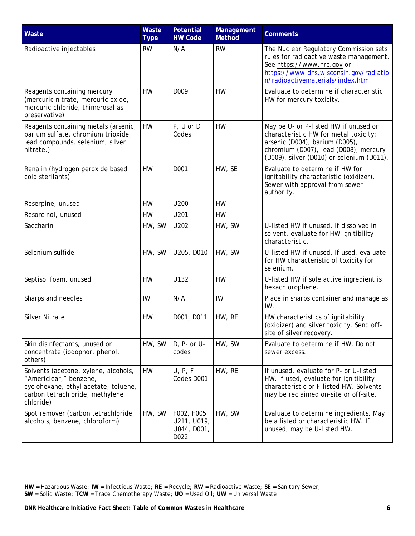| Waste                                                                                                                                                  | Waste<br><b>Type</b> | <b>Potential</b><br><b>HW Code</b>               | Management<br><b>Method</b> | <b>Comments</b>                                                                                                                                                                                        |
|--------------------------------------------------------------------------------------------------------------------------------------------------------|----------------------|--------------------------------------------------|-----------------------------|--------------------------------------------------------------------------------------------------------------------------------------------------------------------------------------------------------|
| Radioactive injectables                                                                                                                                | <b>RW</b>            | N/A                                              | <b>RW</b>                   | The Nuclear Regulatory Commission sets<br>rules for radioactive waste management.<br>See https://www.nrc.gov or<br>https://www.dhs.wisconsin.gov/radiatio<br>n/radioactivematerials/index.htm.         |
| Reagents containing mercury<br>(mercuric nitrate, mercuric oxide,<br>mercuric chloride, thimerosal as<br>preservative)                                 | <b>HW</b>            | D <sub>009</sub>                                 | <b>HW</b>                   | Evaluate to determine if characteristic<br>HW for mercury toxicity.                                                                                                                                    |
| Reagents containing metals (arsenic,<br>barium sulfate, chromium trioxide,<br>lead compounds, selenium, silver<br>nitrate.)                            | <b>HW</b>            | P, U or D<br>Codes                               | HW                          | May be U- or P-listed HW if unused or<br>characteristic HW for metal toxicity:<br>arsenic (D004), barium (D005),<br>chromium (D007), lead (D008), mercury<br>(D009), silver (D010) or selenium (D011). |
| Renalin (hydrogen peroxide based<br>cold sterilants)                                                                                                   | <b>HW</b>            | D001                                             | HW, SE                      | Evaluate to determine if HW for<br>ignitability characteristic (oxidizer).<br>Sewer with approval from sewer<br>authority.                                                                             |
| Reserpine, unused                                                                                                                                      | HW                   | U200                                             | HW                          |                                                                                                                                                                                                        |
| Resorcinol, unused                                                                                                                                     | HW                   | U201                                             | <b>HW</b>                   |                                                                                                                                                                                                        |
| Saccharin                                                                                                                                              | HW, SW               | U202                                             | HW, SW                      | U-listed HW if unused. If dissolved in<br>solvent, evaluate for HW ignitibility<br>characteristic.                                                                                                     |
| Selenium sulfide                                                                                                                                       | HW, SW               | U205, D010                                       | HW, SW                      | U-listed HW if unused. If used, evaluate<br>for HW characteristic of toxicity for<br>selenium.                                                                                                         |
| Septisol foam, unused                                                                                                                                  | <b>HW</b>            | U132                                             | <b>HW</b>                   | U-listed HW if sole active ingredient is<br>hexachlorophene.                                                                                                                                           |
| Sharps and needles                                                                                                                                     | IW                   | N/A                                              | IW                          | Place in sharps container and manage as<br>IW.                                                                                                                                                         |
| <b>Silver Nitrate</b>                                                                                                                                  | <b>HW</b>            | D001, D011                                       | HW, RE                      | HW characteristics of ignitability<br>(oxidizer) and silver toxicity. Send off-<br>site of silver recovery.                                                                                            |
| Skin disinfectants, unused or<br>concentrate (iodophor, phenol,<br>others)                                                                             | HW, SW               | D, P- or U-<br>codes                             | HW, SW                      | Evaluate to determine if HW. Do not<br>sewer excess.                                                                                                                                                   |
| Solvents (acetone, xylene, alcohols,<br>"Americlear," benzene,<br>cyclohexane, ethyl acetate, toluene,<br>carbon tetrachloride, methylene<br>chloride) | <b>HW</b>            | U, P, F<br>Codes D001                            | HW, RE                      | If unused, evaluate for P- or U-listed<br>HW. If used, evaluate for ignitibility<br>characteristic or F-listed HW. Solvents<br>may be reclaimed on-site or off-site.                                   |
| Spot remover (carbon tetrachloride,<br>alcohols, benzene, chloroform)                                                                                  | HW, SW               | F002, F005<br>U211, U019,<br>U044, D001,<br>D022 | HW, SW                      | Evaluate to determine ingredients. May<br>be a listed or characteristic HW. If<br>unused, may be U-listed HW.                                                                                          |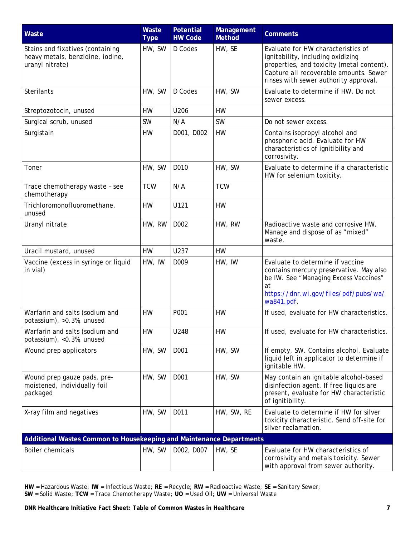| Waste                                                                                   | Waste<br><b>Type</b> | <b>Potential</b><br><b>HW Code</b> | Management<br><b>Method</b> | <b>Comments</b>                                                                                                                                                                                         |
|-----------------------------------------------------------------------------------------|----------------------|------------------------------------|-----------------------------|---------------------------------------------------------------------------------------------------------------------------------------------------------------------------------------------------------|
| Stains and fixatives (containing<br>heavy metals, benzidine, iodine,<br>uranyl nitrate) | HW, SW               | D Codes                            | HW, SE                      | Evaluate for HW characteristics of<br>ignitability, including oxidizing<br>properties, and toxicity (metal content).<br>Capture all recoverable amounts. Sewer<br>rinses with sewer authority approval. |
| Sterilants                                                                              | HW, SW               | D Codes                            | HW, SW                      | Evaluate to determine if HW. Do not<br>sewer excess.                                                                                                                                                    |
| Streptozotocin, unused                                                                  | HW                   | U206                               | <b>HW</b>                   |                                                                                                                                                                                                         |
| Surgical scrub, unused                                                                  | <b>SW</b>            | N/A                                | <b>SW</b>                   | Do not sewer excess.                                                                                                                                                                                    |
| Surgistain                                                                              | HW                   | D001, D002                         | HW                          | Contains isopropyl alcohol and<br>phosphoric acid. Evaluate for HW<br>characteristics of ignitibility and<br>corrosivity.                                                                               |
| Toner                                                                                   | HW, SW               | D010                               | HW, SW                      | Evaluate to determine if a characteristic<br>HW for selenium toxicity.                                                                                                                                  |
| Trace chemotherapy waste - see<br>chemotherapy                                          | <b>TCW</b>           | N/A                                | <b>TCW</b>                  |                                                                                                                                                                                                         |
| Trichloromonofluoromethane,<br>unused                                                   | <b>HW</b>            | U121                               | <b>HW</b>                   |                                                                                                                                                                                                         |
| Uranyl nitrate                                                                          | HW, RW               | D <sub>0</sub> 02                  | HW, RW                      | Radioactive waste and corrosive HW.<br>Manage and dispose of as "mixed"<br>waste.                                                                                                                       |
| Uracil mustard, unused                                                                  | <b>HW</b>            | U237                               | <b>HW</b>                   |                                                                                                                                                                                                         |
| Vaccine (excess in syringe or liquid<br>in vial)                                        | HW, IW               | D009                               | HW, IW                      | Evaluate to determine if vaccine<br>contains mercury preservative. May also<br>be IW. See "Managing Excess Vaccines"<br>at<br>https://dnr.wi.gov/files/pdf/pubs/wa/<br>wa841.pdf.                       |
| Warfarin and salts (sodium and<br>potassium), >0.3%, unused                             | <b>HW</b>            | P001                               | <b>HW</b>                   | If used, evaluate for HW characteristics.                                                                                                                                                               |
| Warfarin and salts (sodium and<br>potassium), <0.3%, unused                             | HW                   | U248                               | HW                          | If used, evaluate for HW characteristics.                                                                                                                                                               |
| Wound prep applicators                                                                  | HW, SW               | D001                               | HW, SW                      | If empty, SW. Contains alcohol. Evaluate<br>liquid left in applicator to determine if<br>ignitable HW.                                                                                                  |
| Wound prep gauze pads, pre-<br>moistened, individually foil<br>packaged                 | HW, SW               | D001                               | HW, SW                      | May contain an ignitable alcohol-based<br>disinfection agent. If free liquids are<br>present, evaluate for HW characteristic<br>of ignitibility.                                                        |
| X-ray film and negatives                                                                | HW, SW               | D011                               | HW, SW, RE                  | Evaluate to determine if HW for silver<br>toxicity characteristic. Send off-site for<br>silver reclamation.                                                                                             |
| Additional Wastes Common to Housekeeping and Maintenance Departments                    |                      |                                    |                             |                                                                                                                                                                                                         |
| <b>Boiler chemicals</b>                                                                 | HW, SW               | D002, D007                         | HW, SE                      | Evaluate for HW characteristics of<br>corrosivity and metals toxicity. Sewer<br>with approval from sewer authority.                                                                                     |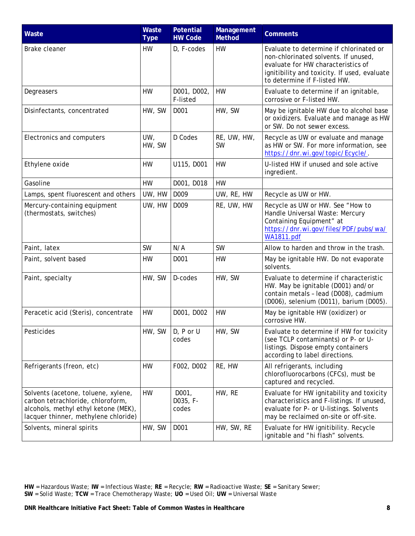| Waste                                                                                                                                                    | Waste<br><b>Type</b> | <b>Potential</b><br><b>HW Code</b> | Management<br><b>Method</b> | <b>Comments</b>                                                                                                                                                                                       |
|----------------------------------------------------------------------------------------------------------------------------------------------------------|----------------------|------------------------------------|-----------------------------|-------------------------------------------------------------------------------------------------------------------------------------------------------------------------------------------------------|
| <b>Brake cleaner</b>                                                                                                                                     | HW                   | D, F-codes                         | HW                          | Evaluate to determine if chlorinated or<br>non-chlorinated solvents. If unused,<br>evaluate for HW characteristics of<br>ignitibility and toxicity. If used, evaluate<br>to determine if F-listed HW. |
| Degreasers                                                                                                                                               | <b>HW</b>            | D001, D002,<br>F-listed            | <b>HW</b>                   | Evaluate to determine if an ignitable,<br>corrosive or F-listed HW.                                                                                                                                   |
| Disinfectants, concentrated                                                                                                                              | HW, SW               | D <sub>001</sub>                   | HW, SW                      | May be ignitable HW due to alcohol base<br>or oxidizers. Evaluate and manage as HW<br>or SW. Do not sewer excess.                                                                                     |
| Electronics and computers                                                                                                                                | UW,<br>HW, SW        | D Codes                            | RE, UW, HW,<br><b>SW</b>    | Recycle as UW or evaluate and manage<br>as HW or SW. For more information, see<br>https://dnr.wi.gov/topic/Ecycle/.                                                                                   |
| Ethylene oxide                                                                                                                                           | <b>HW</b>            | U115, D001                         | <b>HW</b>                   | U-listed HW if unused and sole active<br>ingredient.                                                                                                                                                  |
| Gasoline                                                                                                                                                 | HW                   | D001, D018                         | HW                          |                                                                                                                                                                                                       |
| Lamps, spent fluorescent and others                                                                                                                      | UW, HW               | D009                               | UW, RE, HW                  | Recycle as UW or HW.                                                                                                                                                                                  |
| Mercury-containing equipment<br>(thermostats, switches)                                                                                                  | UW, HW               | D009                               | RE, UW, HW                  | Recycle as UW or HW. See "How to<br>Handle Universal Waste: Mercury<br>Containing Equipment" at<br>https://dnr.wi.gov/files/PDF/pubs/wa/<br><b>WA1811.pdf</b>                                         |
| Paint, latex                                                                                                                                             | <b>SW</b>            | N/A                                | <b>SW</b>                   | Allow to harden and throw in the trash.                                                                                                                                                               |
| Paint, solvent based                                                                                                                                     | <b>HW</b>            | D001                               | HW                          | May be ignitable HW. Do not evaporate<br>solvents.                                                                                                                                                    |
| Paint, specialty                                                                                                                                         | HW, SW               | D-codes                            | HW, SW                      | Evaluate to determine if characteristic<br>HW. May be ignitable (D001) and/or<br>contain metals - lead (D008), cadmium<br>(D006), selenium (D011), barium (D005).                                     |
| Peracetic acid (Steris), concentrate                                                                                                                     | <b>HW</b>            | D001, D002                         | HW                          | May be ignitable HW (oxidizer) or<br>corrosive HW.                                                                                                                                                    |
| Pesticides                                                                                                                                               | HW, SW               | D, P or U<br>codes                 | HW, SW                      | Evaluate to determine if HW for toxicity<br>(see TCLP contaminants) or P- or U-<br>listings. Dispose empty containers<br>according to label directions.                                               |
| Refrigerants (freon, etc)                                                                                                                                | HW                   | F002, D002                         | RE, HW                      | All refrigerants, including<br>chlorofluorocarbons (CFCs), must be<br>captured and recycled.                                                                                                          |
| Solvents (acetone, toluene, xylene,<br>carbon tetrachloride, chloroform,<br>alcohols, methyl ethyl ketone (MEK),<br>lacquer thinner, methylene chloride) | <b>HW</b>            | D001,<br>D035, F-<br>codes         | HW, RE                      | Evaluate for HW ignitability and toxicity<br>characteristics and F-listings. If unused,<br>evaluate for P- or U-listings. Solvents<br>may be reclaimed on-site or off-site.                           |
| Solvents, mineral spirits                                                                                                                                | HW, SW               | D001                               | HW, SW, RE                  | Evaluate for HW ignitibility. Recycle<br>ignitable and "hi flash" solvents.                                                                                                                           |